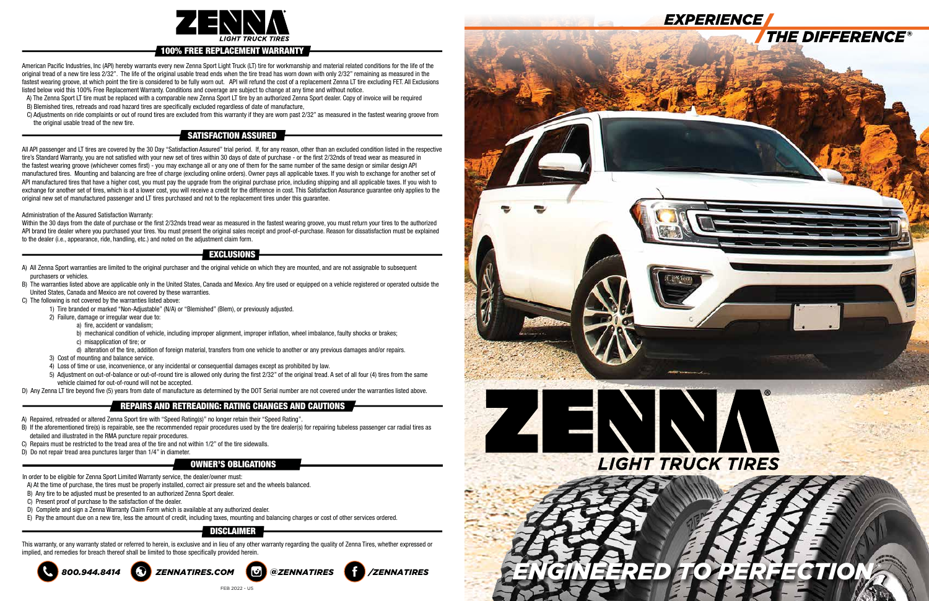

American Pacific Industries, Inc (API) hereby warrants every new Zenna Sport Light Truck (LT) tire for workmanship and material related conditions for the life of the original tread of a new tire less 2/32". The life of the original usable tread ends when the tire tread has worn down with only 2/32" remaining as measured in the fastest wearing groove, at which point the tire is considered to be fully worn out. API will refund the cost of a replacement Zenna LT tire excluding FET. All Exclusions listed below void this 100% Free Replacement Warranty. Conditions and coverage are subject to change at any time and without notice.

 A) The Zenna Sport LT tire must be replaced with a comparable new Zenna Sport LT tire by an authorized Zenna Sport dealer. Copy of invoice will be required B) Blemished tires, retreads and road hazard tires are specifically excluded regardless of date of manufacture,

 C) Adjustments on ride complaints or out of round tires are excluded from this warranty if they are worn past 2/32" as measured in the fastest wearing groove from the original usable tread of the new tire.

Within the 30 days from the date of purchase or the first 2/32nds tread wear as measured in the fastest wearing groove, you must return your tires to the authorized API brand tire dealer where you purchased your tires. You must present the original sales receipt and proof-of-purchase. Reason for dissatisfaction must be explained to the dealer (i.e., appearance, ride, handling, etc.) and noted on the adjustment claim form.

All API passenger and LT tires are covered by the 30 Day "Satisfaction Assured" trial period. If, for any reason, other than an excluded condition listed in the respective tire's Standard Warranty, you are not satisfied with your new set of tires within 30 days of date of purchase - or the first 2/32nds of tread wear as measured in the fastest wearing groove (whichever comes first) - you may exchange all or any one of them for the same number of the same design or similar design API manufactured tires. Mounting and balancing are free of charge (excluding online orders). Owner pays all applicable taxes. If you wish to exchange for another set of API manufactured tires that have a higher cost, you must pay the upgrade from the original purchase price, including shipping and all applicable taxes. If you wish to exchange for another set of tires, which is at a lower cost, you will receive a credit for the difference in cost. This Satisfaction Assurance guarantee only applies to the original new set of manufactured passenger and LT tires purchased and not to the replacement tires under this guarantee.

- A) All Zenna Sport warranties are limited to the original purchaser and the original vehicle on which they are mounted, and are not assignable to subsequent purchasers or vehicles.
- B) The warranties listed above are applicable only in the United States, Canada and Mexico. Any tire used or equipped on a vehicle registered or operated outside the United States, Canada and Mexico are not covered by these warranties.
- C) The following is not covered by the warranties listed above:
	- 1) Tire branded or marked "Non-Adjustable" (N/A) or "Blemished" (Blem), or previously adjusted.
	- 2) Failure, damage or irregular wear due to:
		- a) fire, accident or vandalism;
		- b) mechanical condition of vehicle, including improper alignment, improper inflation, wheel imbalance, faulty shocks or brakes;
		- c) misapplication of tire; or
		- d) alteration of the tire, addition of foreign material, transfers from one vehicle to another or any previous damages and/or repairs.
	- 3) Cost of mounting and balance service.
	- 4) Loss of time or use, inconvenience, or any incidental or consequential damages except as prohibited by law.
	- 5) Adjustment on out-of-balance or out-of-round tire is allowed only during the first 2/32" of the original tread. A set of all four (4) tires from the same vehicle claimed for out-of-round will not be accepted.

#### Administration of the Assured Satisfaction Warranty:

D) Any Zenna LT tire beyond five (5) years from date of manufacture as determined by the DOT Serial number are not covered under the warranties listed above.

- A) Repaired, retreaded or altered Zenna Sport tire with "Speed Rating(s)" no longer retain their "Speed Rating".
- B) If the aforementioned tire(s) is repairable, see the recommended repair procedures used by the tire dealer(s) for repairing tubeless passenger car radial tires as detailed and illustrated in the RMA puncture repair procedures.
- C) Repairs must be restricted to the tread area of the tire and not within 1/2" of the tire sidewalls.
- D) Do not repair tread area punctures larger than 1/4" in diameter.

This warranty, or any warranty stated or referred to herein, is exclusive and in lieu of any other warranty regarding the quality of Zenna Tires, whether expressed or implied, and remedies for breach thereof shall be limited to those specifically provided herein.



#### 100% FREE REPLACEMENT WARRANTY

# SATISFACTION ASSURED

## EXCLUSIONS

## REPAIRS AND RETREADING: RATING CHANGES AND CAUTIONS

## DISCLAIMER



- In order to be eligible for Zenna Sport Limited Warranty service, the dealer/owner must:
- A) At the time of purchase, the tires must be properly installed, correct air pressure set and the wheels balanced.
- B) Any tire to be adjusted must be presented to an authorized Zenna Sport dealer.
- C) Present proof of purchase to the satisfaction of the dealer.
- D) Complete and sign a Zenna Warranty Claim Form which is available at any authorized dealer.
- E) Pay the amount due on a new tire, less the amount of credit, including taxes, mounting and balancing charges or cost of other services ordered.

#### OWNER'S OBLIGATIONS